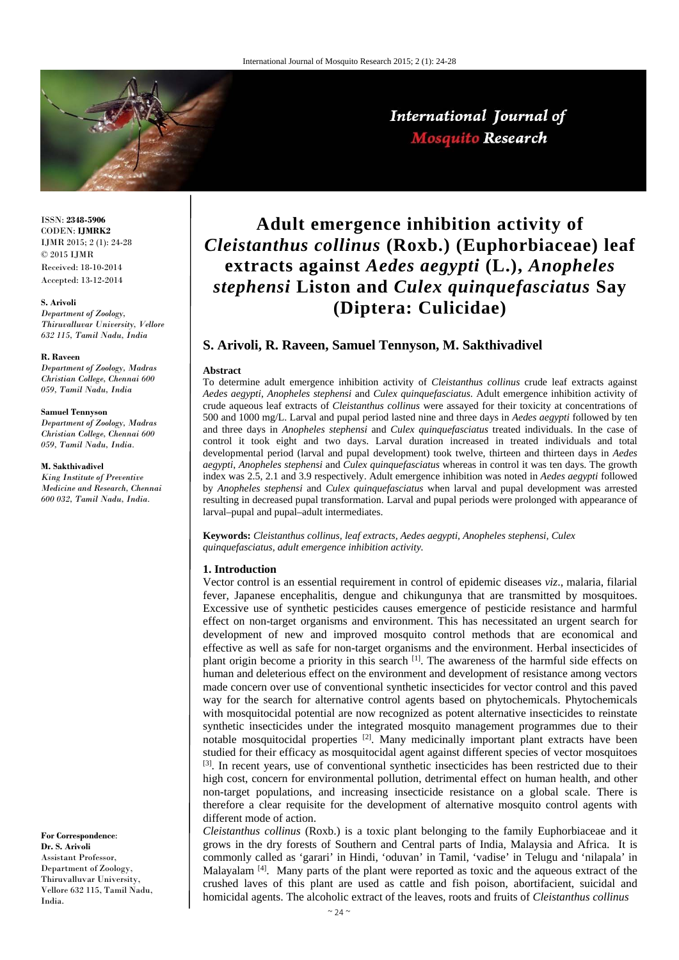

# International Journal of **Mosquito Research**

ISSN: **2348-5906** CODEN: **IJMRK2** IJMR 2015; 2 (1): 24-28 © 2015 IJMR Received: 18-10-2014 Accepted: 13-12-2014

#### **S. Arivoli**

*Department of Zoology, Thiruvalluvar University, Vellore 632 115, Tamil Nadu, India* 

#### **R. Raveen**

*Department of Zoology, Madras Christian College, Chennai 600 059, Tamil Nadu, India* 

#### **Samuel Tennyson**

*Department of Zoology, Madras Christian College, Chennai 600 059, Tamil Nadu, India.* 

**M. Sakthivadivel** 

*King Institute of Preventive Medicine and Research, Chennai 600 032, Tamil Nadu, India.* 

**For Correspondence**: **Dr. S. Arivoli** Assistant Professor, Department of Zoology, Thiruvalluvar University, Vellore 632 115, Tamil Nadu, India.

# **Adult emergence inhibition activity of**  *Cleistanthus collinus* **(Roxb.) (Euphorbiaceae) leaf extracts against** *Aedes aegypti* **(L.),** *Anopheles stephensi* **Liston and** *Culex quinquefasciatus* **Say (Diptera: Culicidae)**

## **S. Arivoli, R. Raveen, Samuel Tennyson, M. Sakthivadivel**

#### **Abstract**

To determine adult emergence inhibition activity of *Cleistanthus collinus* crude leaf extracts against *Aedes aegypti*, *Anopheles stephensi* and *Culex quinquefasciatus*. Adult emergence inhibition activity of crude aqueous leaf extracts of *Cleistanthus collinus* were assayed for their toxicity at concentrations of 500 and 1000 mg/L. Larval and pupal period lasted nine and three days in *Aedes aegypti* followed by ten and three days in *Anopheles stephensi* and *Culex quinquefasciatus* treated individuals. In the case of control it took eight and two days. Larval duration increased in treated individuals and total developmental period (larval and pupal development) took twelve, thirteen and thirteen days in *Aedes aegypti*, *Anopheles stephensi* and *Culex quinquefasciatus* whereas in control it was ten days. The growth index was 2.5, 2.1 and 3.9 respectively. Adult emergence inhibition was noted in *Aedes aegypti* followed by *Anopheles stephensi* and *Culex quinquefasciatus* when larval and pupal development was arrested resulting in decreased pupal transformation. Larval and pupal periods were prolonged with appearance of larval–pupal and pupal–adult intermediates.

**Keywords:** *Cleistanthus collinus, leaf extracts, Aedes aegypti, Anopheles stephensi, Culex quinquefasciatus, adult emergence inhibition activity.*

#### **1. Introduction**

Vector control is an essential requirement in control of epidemic diseases *viz*., malaria, filarial fever, Japanese encephalitis, dengue and chikungunya that are transmitted by mosquitoes. Excessive use of synthetic pesticides causes emergence of pesticide resistance and harmful effect on non-target organisms and environment. This has necessitated an urgent search for development of new and improved mosquito control methods that are economical and effective as well as safe for non-target organisms and the environment. Herbal insecticides of plant origin become a priority in this search  $^{[1]}$ . The awareness of the harmful side effects on human and deleterious effect on the environment and development of resistance among vectors made concern over use of conventional synthetic insecticides for vector control and this paved way for the search for alternative control agents based on phytochemicals. Phytochemicals with mosquitocidal potential are now recognized as potent alternative insecticides to reinstate synthetic insecticides under the integrated mosquito management programmes due to their notable mosquitocidal properties  $[2]$ . Many medicinally important plant extracts have been studied for their efficacy as mosquitocidal agent against different species of vector mosquitoes <sup>[3]</sup>. In recent years, use of conventional synthetic insecticides has been restricted due to their high cost, concern for environmental pollution, detrimental effect on human health, and other non-target populations, and increasing insecticide resistance on a global scale. There is therefore a clear requisite for the development of alternative mosquito control agents with different mode of action.

*Cleistanthus collinus* (Roxb.) is a toxic plant belonging to the family Euphorbiaceae and it grows in the dry forests of Southern and Central parts of India, Malaysia and Africa. It is commonly called as 'garari' in Hindi, 'oduvan' in Tamil, 'vadise' in Telugu and 'nilapala' in Malayalam  $^{[4]}$ . Many parts of the plant were reported as toxic and the aqueous extract of the crushed laves of this plant are used as cattle and fish poison, abortifacient, suicidal and homicidal agents. The alcoholic extract of the leaves, roots and fruits of *Cleistanthus collinus*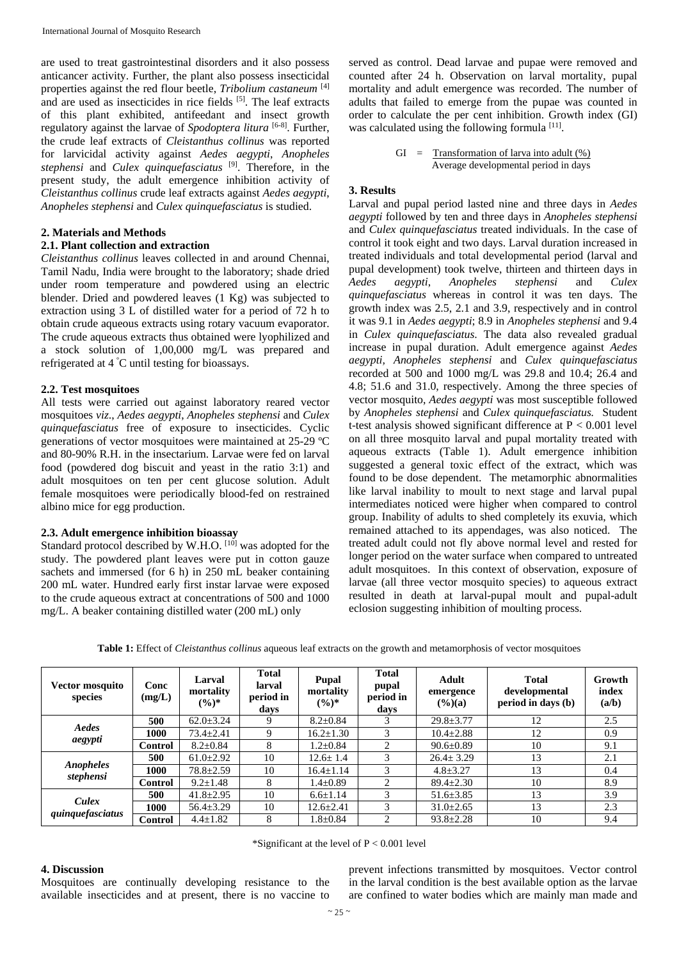are used to treat gastrointestinal disorders and it also possess anticancer activity. Further, the plant also possess insecticidal properties against the red flour beetle, *Tribolium castaneum* [4] and are used as insecticides in rice fields [5]. The leaf extracts of this plant exhibited, antifeedant and insect growth regulatory against the larvae of *Spodoptera litura* [6-8]. Further, the crude leaf extracts of *Cleistanthus collinus* was reported for larvicidal activity against *Aedes aegypti*, *Anopheles stephensi* and *Culex quinquefasciatus* [9]. Therefore, in the present study, the adult emergence inhibition activity of *Cleistanthus collinus* crude leaf extracts against *Aedes aegypti*, *Anopheles stephensi* and *Culex quinquefasciatus* is studied.

#### **2. Materials and Methods**

#### **2.1. Plant collection and extraction**

*Cleistanthus collinus* leaves collected in and around Chennai, Tamil Nadu, India were brought to the laboratory; shade dried under room temperature and powdered using an electric blender. Dried and powdered leaves (1 Kg) was subjected to extraction using 3 L of distilled water for a period of 72 h to obtain crude aqueous extracts using rotary vacuum evaporator. The crude aqueous extracts thus obtained were lyophilized and a stock solution of 1,00,000 mg/L was prepared and refrigerated at 4 º C until testing for bioassays.

#### **2.2. Test mosquitoes**

All tests were carried out against laboratory reared vector mosquitoes *viz*., *Aedes aegypti*, *Anopheles stephensi* and *Culex quinquefasciatus* free of exposure to insecticides. Cyclic generations of vector mosquitoes were maintained at 25-29 ºC and 80-90% R.H. in the insectarium. Larvae were fed on larval food (powdered dog biscuit and yeast in the ratio 3:1) and adult mosquitoes on ten per cent glucose solution. Adult female mosquitoes were periodically blood-fed on restrained albino mice for egg production.

### **2.3. Adult emergence inhibition bioassay**

Standard protocol described by W.H.O. <sup>[10]</sup> was adopted for the study. The powdered plant leaves were put in cotton gauze sachets and immersed (for 6 h) in 250 mL beaker containing 200 mL water. Hundred early first instar larvae were exposed to the crude aqueous extract at concentrations of 500 and 1000 mg/L. A beaker containing distilled water (200 mL) only

served as control. Dead larvae and pupae were removed and counted after 24 h. Observation on larval mortality, pupal mortality and adult emergence was recorded. The number of adults that failed to emerge from the pupae was counted in order to calculate the per cent inhibition. Growth index (GI) was calculated using the following formula [11].

> $GI =$  Transformation of larva into adult  $(\%)$ Average developmental period in days

### **3. Results**

Larval and pupal period lasted nine and three days in *Aedes aegypti* followed by ten and three days in *Anopheles stephensi* and *Culex quinquefasciatus* treated individuals. In the case of control it took eight and two days. Larval duration increased in treated individuals and total developmental period (larval and pupal development) took twelve, thirteen and thirteen days in *Aedes aegypti*, *Anopheles stephensi* and *Culex quinquefasciatus* whereas in control it was ten days. The growth index was 2.5, 2.1 and 3.9, respectively and in control it was 9.1 in *Aedes aegypti*; 8.9 in *Anopheles stephensi* and 9.4 in *Culex quinquefasciatus*. The data also revealed gradual increase in pupal duration. Adult emergence against *Aedes aegypti, Anopheles stephensi* and *Culex quinquefasciatus* recorded at 500 and 1000 mg/L was 29.8 and 10.4; 26.4 and 4.8; 51.6 and 31.0, respectively. Among the three species of vector mosquito, *Aedes aegypti* was most susceptible followed by *Anopheles stephensi* and *Culex quinquefasciatus.* Student t-test analysis showed significant difference at P < 0.001 level on all three mosquito larval and pupal mortality treated with aqueous extracts (Table 1). Adult emergence inhibition suggested a general toxic effect of the extract, which was found to be dose dependent. The metamorphic abnormalities like larval inability to moult to next stage and larval pupal intermediates noticed were higher when compared to control group. Inability of adults to shed completely its exuvia, which remained attached to its appendages, was also noticed. The treated adult could not fly above normal level and rested for longer period on the water surface when compared to untreated adult mosquitoes. In this context of observation, exposure of larvae (all three vector mosquito species) to aqueous extract resulted in death at larval-pupal moult and pupal-adult eclosion suggesting inhibition of moulting process.

| Vector mosquito<br>species | Conc<br>(mg/L) | Larval<br>mortality<br>$(\frac{6}{6})^*$ | <b>Total</b><br>larval<br>period in<br>davs | <b>Pupal</b><br>mortality<br>$(\%)^*$ | <b>Total</b><br>pupal<br>period in<br>days | Adult<br>emergence<br>$(\frac{6}{6})(a)$ | <b>Total</b><br>developmental<br>period in days (b) | Growth<br>index<br>(a/b) |
|----------------------------|----------------|------------------------------------------|---------------------------------------------|---------------------------------------|--------------------------------------------|------------------------------------------|-----------------------------------------------------|--------------------------|
| Aedes<br>aegypti           | 500            | $62.0 \pm 3.24$                          | 9                                           | $8.2 \pm 0.84$                        |                                            | $29.8 \pm 3.77$                          | 12                                                  | 2.5                      |
|                            | 1000           | $73.4 \pm 2.41$                          | 9                                           | $16.2 \pm 1.30$                       | 3                                          | $10.4 + 2.88$                            | 12                                                  | 0.9                      |
|                            | <b>Control</b> | $8.2 \pm 0.84$                           | 8                                           | $1.2 \pm 0.84$                        | $\mathfrak{D}$                             | $90.6 \pm 0.89$                          | 10                                                  | 9.1                      |
| Anopheles<br>stephensi     | 500            | $61.0 \pm 2.92$                          | 10                                          | $12.6 \pm 1.4$                        | 3                                          | $26.4 \pm 3.29$                          | 13                                                  | 2.1                      |
|                            | 1000           | $78.8 \pm 2.59$                          | 10                                          | $16.4 \pm 1.14$                       | 3                                          | $4.8 \pm 3.27$                           | 13                                                  | 0.4                      |
|                            | <b>Control</b> | $9.2 \pm 1.48$                           | 8                                           | $1.4 \pm 0.89$                        | $\overline{c}$                             | $89.4 \pm 2.30$                          | 10                                                  | 8.9                      |
| Culex<br>quinquefasciatus  | 500            | $41.8 \pm 2.95$                          | 10                                          | $6.6 \pm 1.14$                        | 3                                          | $51.6 \pm 3.85$                          | 13                                                  | 3.9                      |
|                            | 1000           | $56.4 \pm 3.29$                          | 10                                          | $12.6 \pm 2.41$                       | 3                                          | $31.0 \pm 2.65$                          | 13                                                  | 2.3                      |
|                            | <b>Control</b> | $4.4 \pm 1.82$                           | 8                                           | $1.8 \pm 0.84$                        | $\mathfrak{D}$                             | $93.8 \pm 2.28$                          | 10                                                  | 9.4                      |

**Table 1:** Effect of *Cleistanthus collinus* aqueous leaf extracts on the growth and metamorphosis of vector mosquitoes

#### \*Significant at the level of P < 0.001 level

#### **4. Discussion**

Mosquitoes are continually developing resistance to the available insecticides and at present, there is no vaccine to prevent infections transmitted by mosquitoes. Vector control in the larval condition is the best available option as the larvae are confined to water bodies which are mainly man made and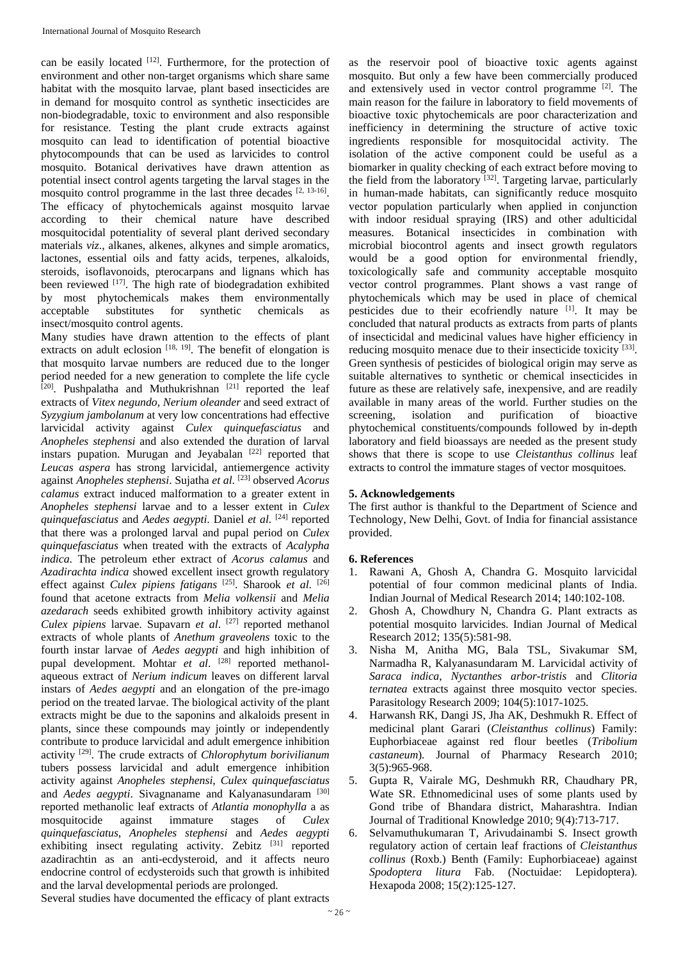can be easily located  $[12]$ . Furthermore, for the protection of environment and other non-target organisms which share same habitat with the mosquito larvae, plant based insecticides are in demand for mosquito control as synthetic insecticides are non-biodegradable, toxic to environment and also responsible for resistance. Testing the plant crude extracts against mosquito can lead to identification of potential bioactive phytocompounds that can be used as larvicides to control mosquito. Botanical derivatives have drawn attention as potential insect control agents targeting the larval stages in the mosquito control programme in the last three decades  $[2, 13-16]$ . The efficacy of phytochemicals against mosquito larvae according to their chemical nature have described mosquitocidal potentiality of several plant derived secondary materials *viz*., alkanes, alkenes, alkynes and simple aromatics, lactones, essential oils and fatty acids, terpenes, alkaloids, steroids, isoflavonoids, pterocarpans and lignans which has been reviewed  $[17]$ . The high rate of biodegradation exhibited by most phytochemicals makes them environmentally acceptable substitutes for synthetic chemicals as insect/mosquito control agents.

Many studies have drawn attention to the effects of plant extracts on adult eclosion [18, 19]. The benefit of elongation is that mosquito larvae numbers are reduced due to the longer period needed for a new generation to complete the life cycle  $^{[20]}$ . Pushpalatha and Muthukrishnan  $^{[21]}$  reported the leaf extracts of *Vitex negundo*, *Nerium oleander* and seed extract of *Syzygium jambolanum* at very low concentrations had effective larvicidal activity against *Culex quinquefasciatus* and *Anopheles stephensi* and also extended the duration of larval instars pupation. Murugan and Jeyabalan  $[22]$  reported that *Leucas aspera* has strong larvicidal, antiemergence activity against *Anopheles stephensi*. Sujatha *et al*. [23] observed *Acorus calamus* extract induced malformation to a greater extent in *Anopheles stephensi* larvae and to a lesser extent in *Culex quinquefasciatus* and *Aedes aegypti*. Daniel *et al*. [24] reported that there was a prolonged larval and pupal period on *Culex quinquefasciatus* when treated with the extracts of *Acalypha indica*. The petroleum ether extract of *Acorus calamus* and *Azadirachta indica* showed excellent insect growth regulatory effect against *Culex pipiens fatigans* [25]. Sharook *et al*. [26] found that acetone extracts from *Melia volkensii* and *Melia azedarach* seeds exhibited growth inhibitory activity against *Culex pipiens* larvae. Supavarn *et al*. [27] reported methanol extracts of whole plants of *Anethum graveolens* toxic to the fourth instar larvae of *Aedes aegypti* and high inhibition of pupal development. Mohtar *et al.* <sup>[28]</sup> reported methanolaqueous extract of *Nerium indicum* leaves on different larval instars of *Aedes aegypti* and an elongation of the pre-imago period on the treated larvae. The biological activity of the plant extracts might be due to the saponins and alkaloids present in plants, since these compounds may jointly or independently contribute to produce larvicidal and adult emergence inhibition activity [29]. The crude extracts of *Chlorophytum borivilianum* tubers possess larvicidal and adult emergence inhibition activity against *Anopheles stephensi*, *Culex quinquefasciatus* and *Aedes aegypti*. Sivagnaname and Kalyanasundaram [30] reported methanolic leaf extracts of *Atlantia monophylla* a as mosquitocide against immature stages of *Culex quinquefasciatus*, *Anopheles stephensi* and *Aedes aegypti* exhibiting insect regulating activity. Zebitz [31] reported azadirachtin as an anti-ecdysteroid, and it affects neuro endocrine control of ecdysteroids such that growth is inhibited and the larval developmental periods are prolonged.

as the reservoir pool of bioactive toxic agents against mosquito. But only a few have been commercially produced and extensively used in vector control programme [2]. The main reason for the failure in laboratory to field movements of bioactive toxic phytochemicals are poor characterization and inefficiency in determining the structure of active toxic ingredients responsible for mosquitocidal activity. The isolation of the active component could be useful as a biomarker in quality checking of each extract before moving to the field from the laboratory<sup>[32]</sup>. Targeting larvae, particularly in human-made habitats, can significantly reduce mosquito vector population particularly when applied in conjunction with indoor residual spraying (IRS) and other adulticidal measures. Botanical insecticides in combination with microbial biocontrol agents and insect growth regulators would be a good option for environmental friendly, toxicologically safe and community acceptable mosquito vector control programmes. Plant shows a vast range of phytochemicals which may be used in place of chemical pesticides due to their ecofriendly nature [1]. It may be concluded that natural products as extracts from parts of plants of insecticidal and medicinal values have higher efficiency in reducing mosquito menace due to their insecticide toxicity [33]. Green synthesis of pesticides of biological origin may serve as suitable alternatives to synthetic or chemical insecticides in future as these are relatively safe, inexpensive, and are readily available in many areas of the world. Further studies on the screening, isolation and purification of bioactive phytochemical constituents/compounds followed by in-depth laboratory and field bioassays are needed as the present study shows that there is scope to use *Cleistanthus collinus* leaf extracts to control the immature stages of vector mosquitoes*.*

## **5. Acknowledgements**

The first author is thankful to the Department of Science and Technology, New Delhi, Govt. of India for financial assistance provided.

## **6. References**

- 1. Rawani A, Ghosh A, Chandra G. Mosquito larvicidal potential of four common medicinal plants of India. Indian Journal of Medical Research 2014; 140:102-108.
- 2. Ghosh A, Chowdhury N, Chandra G. Plant extracts as potential mosquito larvicides. Indian Journal of Medical Research 2012; 135(5):581-98.
- 3. Nisha M, Anitha MG, Bala TSL, Sivakumar SM, Narmadha R, Kalyanasundaram M. Larvicidal activity of *Saraca indica*, *Nyctanthes arbor*-*tristis* and *Clitoria ternatea* extracts against three mosquito vector species. Parasitology Research 2009; 104(5):1017-1025.
- 4. Harwansh RK, Dangi JS, Jha AK, Deshmukh R. Effect of medicinal plant Garari (*Cleistanthus collinus*) Family: Euphorbiaceae against red flour beetles (*Tribolium castaneum*)*.* Journal of Pharmacy Research 2010; 3(5):965-968.
- 5. Gupta R, Vairale MG, Deshmukh RR, Chaudhary PR, Wate SR. Ethnomedicinal uses of some plants used by Gond tribe of Bhandara district, Maharashtra. Indian Journal of Traditional Knowledge 2010; 9(4):713-717.
- 6. Selvamuthukumaran T, Arivudainambi S. Insect growth regulatory action of certain leaf fractions of *Cleistanthus collinus* (Roxb.) Benth (Family: Euphorbiaceae) against *Spodoptera litura* Fab. (Noctuidae: Lepidoptera). Hexapoda 2008; 15(2):125-127.

Several studies have documented the efficacy of plant extracts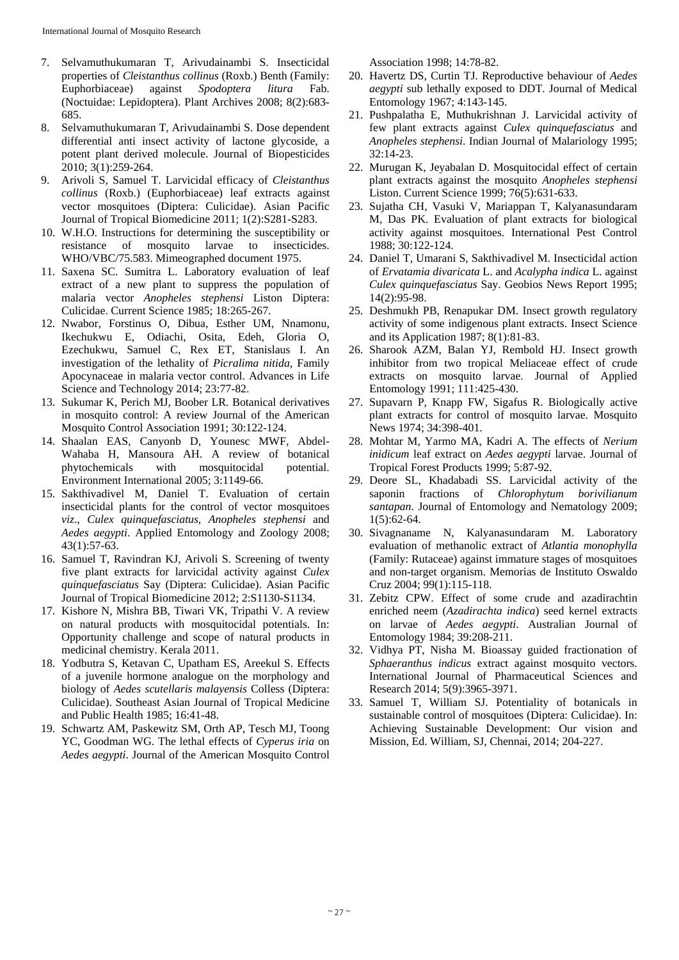- 7. Selvamuthukumaran T, Arivudainambi S. Insecticidal properties of *Cleistanthus collinus* (Roxb.) Benth (Family: Euphorbiaceae) against *Spodoptera litura* Fab. (Noctuidae: Lepidoptera). Plant Archives 2008; 8(2):683- 685.
- 8. Selvamuthukumaran T, Arivudainambi S. Dose dependent differential anti insect activity of lactone glycoside, a potent plant derived molecule. Journal of Biopesticides 2010; 3(1):259-264.
- 9. Arivoli S, Samuel T. Larvicidal efficacy of *Cleistanthus collinus* (Roxb.) (Euphorbiaceae) leaf extracts against vector mosquitoes (Diptera: Culicidae). Asian Pacific Journal of Tropical Biomedicine 2011; 1(2):S281-S283.
- 10. W.H.O. Instructions for determining the susceptibility or resistance of mosquito larvae to insecticides. WHO/VBC/75.583. Mimeographed document 1975.
- 11. Saxena SC. Sumitra L. Laboratory evaluation of leaf extract of a new plant to suppress the population of malaria vector *Anopheles stephensi* Liston Diptera: Culicidae. Current Science 1985; 18:265-267.
- 12. Nwabor, Forstinus O, Dibua, Esther UM, Nnamonu, Ikechukwu E, Odiachi, Osita, Edeh, Gloria O, Ezechukwu, Samuel C, Rex ET, Stanislaus I. An investigation of the lethality of *Picralima nitida*, Family Apocynaceae in malaria vector control. Advances in Life Science and Technology 2014; 23:77-82.
- 13. Sukumar K, Perich MJ, Boober LR. Botanical derivatives in mosquito control: A review Journal of the American Mosquito Control Association 1991; 30:122-124.
- 14. Shaalan EAS, Canyonb D, Younesc MWF, Abdel-Wahaba H, Mansoura AH. A review of botanical phytochemicals with mosquitocidal potential. Environment International 2005; 3:1149-66.
- 15. Sakthivadivel M, Daniel T. Evaluation of certain insecticidal plants for the control of vector mosquitoes *viz*., *Culex quinquefasciatus*, *Anopheles stephensi* and *Aedes aegypti*. Applied Entomology and Zoology 2008; 43(1):57-63.
- 16. Samuel T, Ravindran KJ, Arivoli S. Screening of twenty five plant extracts for larvicidal activity against *Culex quinquefasciatus* Say (Diptera: Culicidae). Asian Pacific Journal of Tropical Biomedicine 2012; 2:S1130-S1134.
- 17. Kishore N, Mishra BB, Tiwari VK, Tripathi V. A review on natural products with mosquitocidal potentials. In: Opportunity challenge and scope of natural products in medicinal chemistry. Kerala 2011.
- 18. Yodbutra S, Ketavan C, Upatham ES, Areekul S. Effects of a juvenile hormone analogue on the morphology and biology of *Aedes scutellaris malayensis* Colless (Diptera: Culicidae). Southeast Asian Journal of Tropical Medicine and Public Health 1985; 16:41-48.
- 19. Schwartz AM, Paskewitz SM, Orth AP, Tesch MJ, Toong YC, Goodman WG. The lethal effects of *Cyperus iria* on *Aedes aegypti*. Journal of the American Mosquito Control

Association 1998; 14:78-82.

- 20. Havertz DS, Curtin TJ. Reproductive behaviour of *Aedes aegypti* sub lethally exposed to DDT. Journal of Medical Entomology 1967; 4:143-145.
- 21. Pushpalatha E, Muthukrishnan J. Larvicidal activity of few plant extracts against *Culex quinquefasciatus* and *Anopheles stephensi*. Indian Journal of Malariology 1995; 32:14-23.
- 22. Murugan K, Jeyabalan D. Mosquitocidal effect of certain plant extracts against the mosquito *Anopheles stephensi* Liston. Current Science 1999; 76(5):631-633.
- 23. Sujatha CH, Vasuki V, Mariappan T, Kalyanasundaram M, Das PK. Evaluation of plant extracts for biological activity against mosquitoes. International Pest Control 1988; 30:122-124.
- 24. Daniel T, Umarani S, Sakthivadivel M. Insecticidal action of *Ervatamia divaricata* L. and *Acalypha indica* L. against *Culex quinquefasciatus* Say. Geobios News Report 1995; 14(2):95-98.
- 25. Deshmukh PB, Renapukar DM. Insect growth regulatory activity of some indigenous plant extracts. Insect Science and its Application 1987; 8(1):81-83.
- 26. Sharook AZM, Balan YJ, Rembold HJ. Insect growth inhibitor from two tropical Meliaceae effect of crude extracts on mosquito larvae. Journal of Applied Entomology 1991; 111:425-430.
- 27. Supavarn P, Knapp FW, Sigafus R. Biologically active plant extracts for control of mosquito larvae. Mosquito News 1974; 34:398-401.
- 28. Mohtar M, Yarmo MA, Kadri A. The effects of *Nerium inidicum* leaf extract on *Aedes aegypti* larvae. Journal of Tropical Forest Products 1999; 5:87-92.
- 29. Deore SL, Khadabadi SS. Larvicidal activity of the saponin fractions of *Chlorophytum borivilianum santapan*. Journal of Entomology and Nematology 2009; 1(5):62-64.
- 30. Sivagnaname N, Kalyanasundaram M. Laboratory evaluation of methanolic extract of *Atlantia monophylla* (Family: Rutaceae) against immature stages of mosquitoes and non-target organism. Memorias de Instituto Oswaldo Cruz 2004; 99(1):115-118.
- 31. Zebitz CPW. Effect of some crude and azadirachtin enriched neem (*Azadirachta indica*) seed kernel extracts on larvae of *Aedes aegypti*. Australian Journal of Entomology 1984; 39:208-211.
- 32. Vidhya PT, Nisha M. Bioassay guided fractionation of *Sphaeranthus indicus* extract against mosquito vectors. International Journal of Pharmaceutical Sciences and Research 2014; 5(9):3965-3971.
- 33. Samuel T, William SJ. Potentiality of botanicals in sustainable control of mosquitoes (Diptera: Culicidae). In: Achieving Sustainable Development: Our vision and Mission, Ed. William, SJ, Chennai, 2014; 204-227.